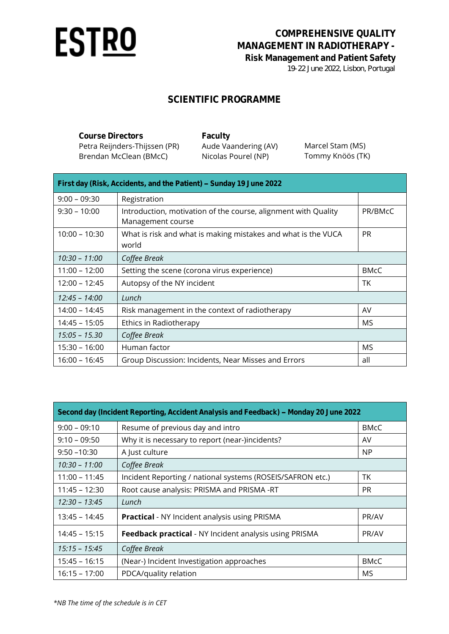

## **COMPREHENSIVE QUALITY MANAGEMENT IN RADIOTHERAPY - Risk Management and Patient Safety** *19-22 June 2022, Lisbon, Portugal*

## **SCIENTIFIC PROGRAMME**

| Course Directors              | Faculty              |                  |
|-------------------------------|----------------------|------------------|
| Petra Reijnders-Thijssen (PR) | Aude Vaandering (AV) | Marcel Stam (MS) |
| Brendan McClean (BMcC)        | Nicolas Pourel (NP)  | Tommy Knöös (TK) |

| First day (Risk, Accidents, and the Patient) - Sunday 19 June 2022 |                                                                                     |             |  |
|--------------------------------------------------------------------|-------------------------------------------------------------------------------------|-------------|--|
| $9:00 - 09:30$                                                     | Registration                                                                        |             |  |
| $9:30 - 10:00$                                                     | Introduction, motivation of the course, alignment with Quality<br>Management course | PR/BMcC     |  |
| $10:00 - 10:30$                                                    | What is risk and what is making mistakes and what is the VUCA<br>world              | <b>PR</b>   |  |
| $10:30 - 11:00$                                                    | Coffee Break                                                                        |             |  |
| $11:00 - 12:00$                                                    | Setting the scene (corona virus experience)                                         | <b>BMcC</b> |  |
| $12:00 - 12:45$                                                    | Autopsy of the NY incident                                                          | ТK          |  |
| 12:45 - 14:00                                                      | Lunch                                                                               |             |  |
| 14:00 - 14:45                                                      | Risk management in the context of radiotherapy                                      | AV          |  |
| $14:45 - 15:05$                                                    | Ethics in Radiotherapy                                                              | MS          |  |
| $15:05 - 15.30$                                                    | Coffee Break                                                                        |             |  |
| $15:30 - 16:00$                                                    | Human factor                                                                        | MS          |  |
| $16:00 - 16:45$                                                    | Group Discussion: Incidents, Near Misses and Errors                                 | all         |  |

| Second day (Incident Reporting, Accident Analysis and Feedback) – Monday 20 June 2022 |                                                               |             |  |
|---------------------------------------------------------------------------------------|---------------------------------------------------------------|-------------|--|
| $9:00 - 09:10$                                                                        | Resume of previous day and intro                              | <b>BMcC</b> |  |
| $9:10 - 09:50$                                                                        | Why it is necessary to report (near-)incidents?               | AV          |  |
| $9:50 - 10:30$                                                                        | A Just culture                                                | <b>NP</b>   |  |
| $10:30 - 11:00$                                                                       | Coffee Break                                                  |             |  |
| $11:00 - 11:45$                                                                       | Incident Reporting / national systems (ROSEIS/SAFRON etc.)    | TK          |  |
| $11:45 - 12:30$                                                                       | Root cause analysis: PRISMA and PRISMA -RT                    | PR.         |  |
| $12:30 - 13:45$                                                                       | Lunch                                                         |             |  |
| $13:45 - 14:45$                                                                       | <b>Practical</b> - NY Incident analysis using PRISMA          | PR/AV       |  |
| $14:45 - 15:15$                                                                       | <b>Feedback practical</b> - NY Incident analysis using PRISMA | PR/AV       |  |
| $15:15 - 15:45$                                                                       | Coffee Break                                                  |             |  |
| $15:45 - 16:15$                                                                       | (Near-) Incident Investigation approaches                     | <b>BMcC</b> |  |
| $16:15 - 17:00$                                                                       | PDCA/quality relation                                         | MS          |  |